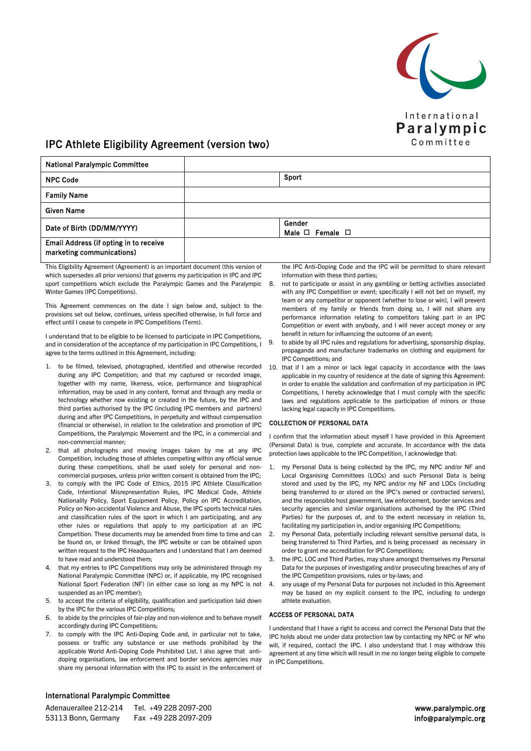

# IPC Athlete Eligibility Agreement (version two)

| <b>National Paralympic Committee</b>                                |                                     |
|---------------------------------------------------------------------|-------------------------------------|
| <b>NPC Code</b>                                                     | Sport                               |
| <b>Family Name</b>                                                  |                                     |
| <b>Given Name</b>                                                   |                                     |
| Date of Birth (DD/MM/YYYY)                                          | Gender<br>Male $\Box$ Female $\Box$ |
| Email Address (if opting in to receive<br>marketing communications) |                                     |

This Eligibility Agreement (Agreement) is an important document (this version of which supersedes all prior versions) that governs my participation in IPC and IPC sport competitions which exclude the Paralympic Games and the Paralympic Winter Games (IPC Competitions).

This Agreement commences on the date I sign below and, subject to the provisions set out below, continues, unless specified otherwise, in full force and effect until I cease to compete in IPC Competitions (Term).

I understand that to be eligible to be licensed to participate in IPC Competitions, and in consideration of the acceptance of my participation in IPC Competitions, I agree to the terms outlined in this Agreement, including:

- 1. to be filmed, televised, photographed, identified and otherwise recorded during any IPC Competition; and that my captured or recorded image, together with my name, likeness, voice, performance and biographical information, may be used in any content, format and through any media or technology whether now existing or created in the future, by the IPC and third parties authorised by the IPC (including IPC members and partners) during and after IPC Competitions, in perpetuity and without compensation (financial or otherwise), in relation to the celebration and promotion of IPC Competitions, the Paralympic Movement and the IPC, in a commercial and non-commercial manner;
- 2. that all photographs and moving images taken by me at any IPC Competition, including those of athletes competing within any official venue during these competitions, shall be used solely for personal and noncommercial purposes, unless prior written consent is obtained from the IPC;
- 3. to comply with the IPC Code of Ethics, 2015 IPC Athlete Classification Code, Intentional Misrepresentation Rules, IPC Medical Code, Athlete Nationality Policy, Sport Equipment Policy, Policy on IPC Accreditation, Policy on Non-accidental Violence and Abuse, the IPC sports technical rules and classification rules of the sport in which I am participating, and any other rules or regulations that apply to my participation at an IPC Competition. These documents may be amended from time to time and can be found on, or linked through, the IPC website or can be obtained upon written request to the IPC Headquarters and I understand that I am deemed to have read and understood them;
- 4. that my entries to IPC Competitions may only be administered through my National Paralympic Committee (NPC) or, if applicable, my IPC recognised National Sport Federation (NF) (in either case so long as my NPC is not suspended as an IPC member);
- 5. to accept the criteria of eligibility, qualification and participation laid down by the IPC for the various IPC Competitions;
- 6. to abide by the principles of fair-play and non-violence and to behave myself accordingly during IPC Competitions;
- 7. to comply with the IPC Anti-Doping Code and, in particular not to take, possess or traffic any substance or use methods prohibited by the applicable World Anti-Doping Code Prohibited List. I also agree that antidoping organisations, law enforcement and border services agencies may share my personal information with the IPC to assist in the enforcement of

the IPC Anti-Doping Code and the IPC will be permitted to share relevant information with these third parties;

- 8. not to participate or assist in any gambling or betting activities associated with any IPC Competition or event; specifically I will not bet on myself, my team or any competitor or opponent (whether to lose or win), I will prevent members of my family or friends from doing so, I will not share any performance information relating to competitors taking part in an IPC Competition or event with anybody, and I will never accept money or any benefit in return for influencing the outcome of an event;
- 9. to abide by all IPC rules and regulations for advertising, sponsorship display, propaganda and manufacturer trademarks on clothing and equipment for IPC Competitions; and
- 10. that if I am a minor or lack legal capacity in accordance with the laws applicable in my country of residence at the date of signing this Agreement: in order to enable the validation and confirmation of my participation in IPC Competitions, I hereby acknowledge that I must comply with the specific laws and regulations applicable to the participation of minors or those lacking legal capacity in IPC Competitions.

## COLLECTION OF PERSONAL DATA

I confirm that the information about myself I have provided in this Agreement (Personal Data) is true, complete and accurate. In accordance with the data protection laws applicable to the IPC Competition, I acknowledge that:

- 1. my Personal Data is being collected by the IPC, my NPC and/or NF and Local Organising Committees (LOCs) and such Personal Data is being stored and used by the IPC, my NPC and/or my NF and LOCs (including being transferred to or stored on the IPC's owned or contracted servers), and the responsible host government, law enforcement, border services and security agencies and similar organisations authorised by the IPC (Third Parties) for the purposes of, and to the extent necessary in relation to, facilitating my participation in, and/or organising IPC Competitions;
- 2. my Personal Data, potentially including relevant sensitive personal data, is being transferred to Third Parties, and is being processed as necessary in order to grant me accreditation for IPC Competitions;
- 3. the IPC, LOC and Third Parties, may share amongst themselves my Personal Data for the purposes of investigating and/or prosecuting breaches of any of the IPC Competition provisions, rules or by-laws; and
- 4. any usage of my Personal Data for purposes not included in this Agreement may be based on my explicit consent to the IPC, including to undergo athlete evaluation.

## ACCESS OF PERSONAL DATA

I understand that I have a right to access and correct the Personal Data that the IPC holds about me under data protection law by contacting my NPC or NF who will, if required, contact the IPC. I also understand that I may withdraw this agreement at any time which will result in me no longer being eligible to compete in IPC Competitions.

# International Paralympic Committee

| Adenauerallee 212-214 | Tel. +49 228 2097-200 |
|-----------------------|-----------------------|
| 53113 Bonn. Germany   | Fax +49 228 2097-209  |

www.paralympic.org info@paralympic.org